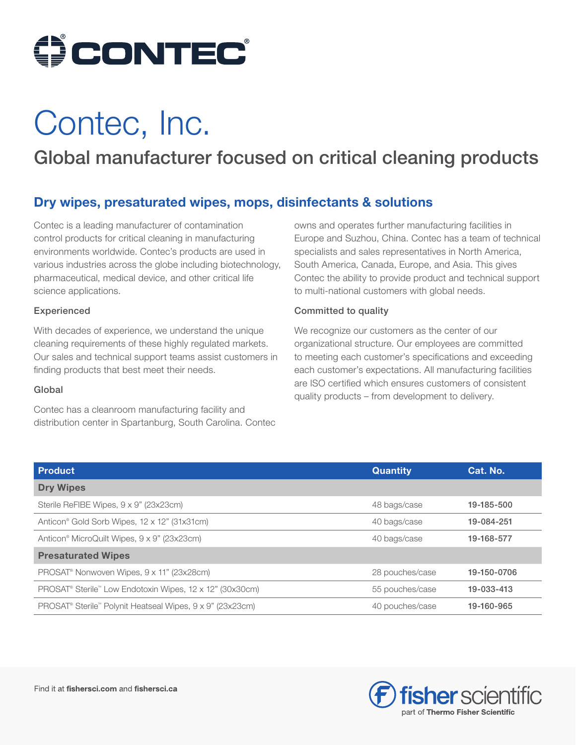

# Contec, Inc.

## Global manufacturer focused on critical cleaning products

## Dry wipes, presaturated wipes, mops, disinfectants & solutions

Contec is a leading manufacturer of contamination control products for critical cleaning in manufacturing environments worldwide. Contec's products are used in various industries across the globe including biotechnology, pharmaceutical, medical device, and other critical life science applications.

## Experienced

With decades of experience, we understand the unique cleaning requirements of these highly regulated markets. Our sales and technical support teams assist customers in finding products that best meet their needs.

#### Global

Contec has a cleanroom manufacturing facility and distribution center in Spartanburg, South Carolina. Contec owns and operates further manufacturing facilities in Europe and Suzhou, China. Contec has a team of technical specialists and sales representatives in North America, South America, Canada, Europe, and Asia. This gives Contec the ability to provide product and technical support to multi-national customers with global needs.

## Committed to quality

We recognize our customers as the center of our organizational structure. Our employees are committed to meeting each customer's specifications and exceeding each customer's expectations. All manufacturing facilities are ISO certified which ensures customers of consistent quality products – from development to delivery.

| <b>Product</b>                                                                    | <b>Quantity</b> | Cat. No.    |
|-----------------------------------------------------------------------------------|-----------------|-------------|
| <b>Dry Wipes</b>                                                                  |                 |             |
| Sterile ReFIBE Wipes, 9 x 9" (23x23cm)                                            | 48 bags/case    | 19-185-500  |
| Anticon <sup>®</sup> Gold Sorb Wipes, 12 x 12" (31x31cm)                          | 40 bags/case    | 19-084-251  |
| Anticon <sup>®</sup> MicroQuilt Wipes, 9 x 9" (23x23cm)                           | 40 bags/case    | 19-168-577  |
| <b>Presaturated Wipes</b>                                                         |                 |             |
| PROSAT <sup>®</sup> Nonwoven Wipes, 9 x 11" (23x28cm)                             | 28 pouches/case | 19-150-0706 |
| PROSAT <sup>®</sup> Sterile™ Low Endotoxin Wipes, 12 x 12" (30x30cm)              | 55 pouches/case | 19-033-413  |
| PROSAT <sup>®</sup> Sterile <sup>™</sup> Polynit Heatseal Wipes, 9 x 9" (23x23cm) | 40 pouches/case | 19-160-965  |